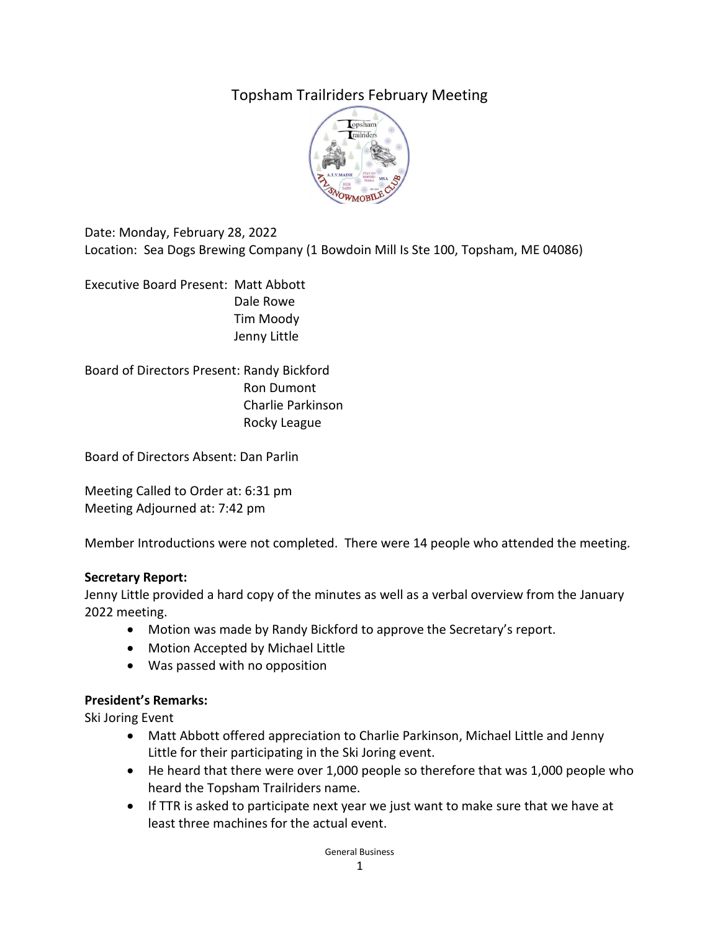# Topsham Trailriders February Meeting



Date: Monday, February 28, 2022 Location: Sea Dogs Brewing Company (1 Bowdoin Mill Is Ste 100, Topsham, ME 04086)

Executive Board Present: Matt Abbott Dale Rowe Tim Moody Jenny Little

Board of Directors Present: Randy Bickford Ron Dumont Charlie Parkinson Rocky League

Board of Directors Absent: Dan Parlin

Meeting Called to Order at: 6:31 pm Meeting Adjourned at: 7:42 pm

Member Introductions were not completed. There were 14 people who attended the meeting.

#### **Secretary Report:**

Jenny Little provided a hard copy of the minutes as well as a verbal overview from the January 2022 meeting.

- Motion was made by Randy Bickford to approve the Secretary's report.
- Motion Accepted by Michael Little
- Was passed with no opposition

#### **President's Remarks:**

Ski Joring Event

- Matt Abbott offered appreciation to Charlie Parkinson, Michael Little and Jenny Little for their participating in the Ski Joring event.
- He heard that there were over 1,000 people so therefore that was 1,000 people who heard the Topsham Trailriders name.
- If TTR is asked to participate next year we just want to make sure that we have at least three machines for the actual event.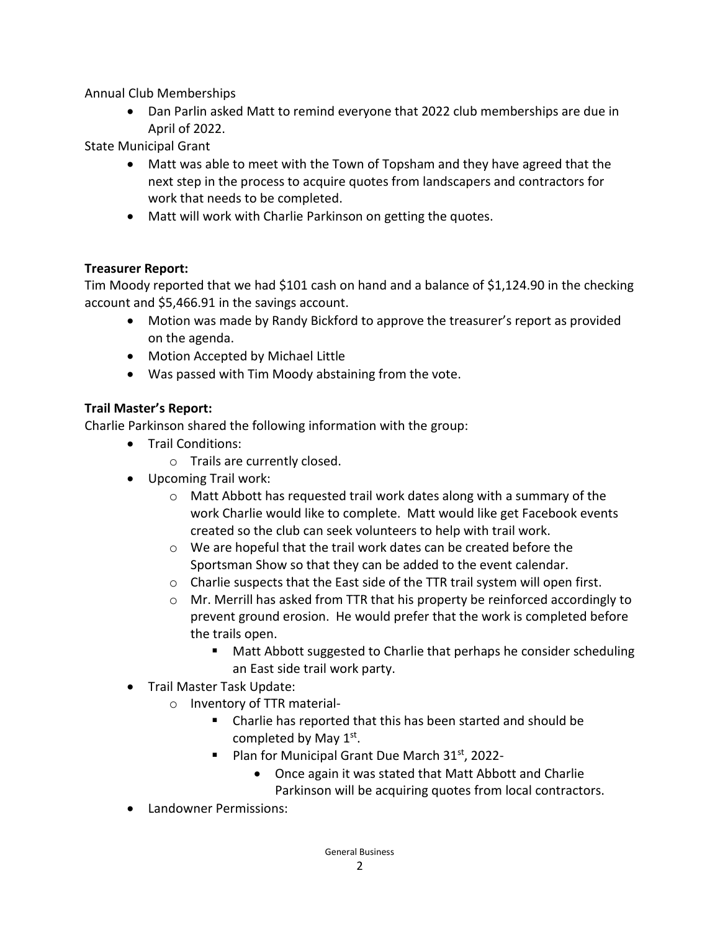Annual Club Memberships

• Dan Parlin asked Matt to remind everyone that 2022 club memberships are due in April of 2022.

State Municipal Grant

- Matt was able to meet with the Town of Topsham and they have agreed that the next step in the process to acquire quotes from landscapers and contractors for work that needs to be completed.
- Matt will work with Charlie Parkinson on getting the quotes.

#### **Treasurer Report:**

Tim Moody reported that we had \$101 cash on hand and a balance of \$1,124.90 in the checking account and \$5,466.91 in the savings account.

- Motion was made by Randy Bickford to approve the treasurer's report as provided on the agenda.
- Motion Accepted by Michael Little
- Was passed with Tim Moody abstaining from the vote.

#### **Trail Master's Report:**

Charlie Parkinson shared the following information with the group:

- Trail Conditions:
	- o Trails are currently closed.
- Upcoming Trail work:
	- o Matt Abbott has requested trail work dates along with a summary of the work Charlie would like to complete. Matt would like get Facebook events created so the club can seek volunteers to help with trail work.
	- o We are hopeful that the trail work dates can be created before the Sportsman Show so that they can be added to the event calendar.
	- o Charlie suspects that the East side of the TTR trail system will open first.
	- $\circ$  Mr. Merrill has asked from TTR that his property be reinforced accordingly to prevent ground erosion. He would prefer that the work is completed before the trails open.
		- **Matt Abbott suggested to Charlie that perhaps he consider scheduling** an East side trail work party.
- Trail Master Task Update:
	- o Inventory of TTR material-
		- Charlie has reported that this has been started and should be completed by May 1<sup>st</sup>.
		- Plan for Municipal Grant Due March  $31<sup>st</sup>$ , 2022-
			- Once again it was stated that Matt Abbott and Charlie Parkinson will be acquiring quotes from local contractors.
- Landowner Permissions: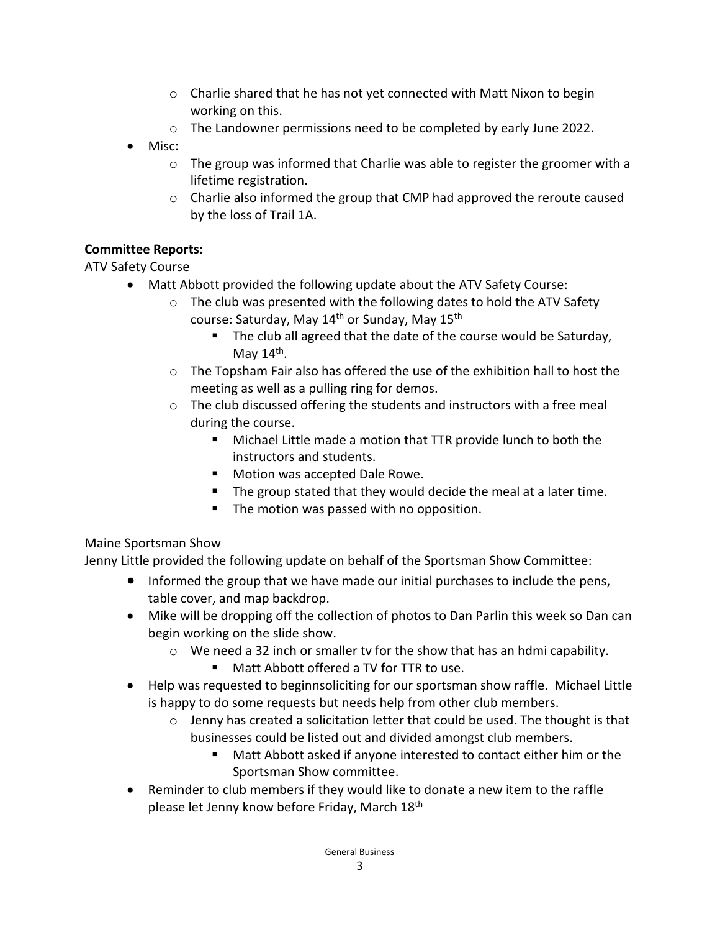- $\circ$  Charlie shared that he has not yet connected with Matt Nixon to begin working on this.
- o The Landowner permissions need to be completed by early June 2022.
- Misc:
	- $\circ$  The group was informed that Charlie was able to register the groomer with a lifetime registration.
	- $\circ$  Charlie also informed the group that CMP had approved the reroute caused by the loss of Trail 1A.

### **Committee Reports:**

# ATV Safety Course

- Matt Abbott provided the following update about the ATV Safety Course:
	- o The club was presented with the following dates to hold the ATV Safety course: Saturday, May  $14<sup>th</sup>$  or Sunday, May  $15<sup>th</sup>$ 
		- The club all agreed that the date of the course would be Saturday, May  $14<sup>th</sup>$ .
	- $\circ$  The Topsham Fair also has offered the use of the exhibition hall to host the meeting as well as a pulling ring for demos.
	- o The club discussed offering the students and instructors with a free meal during the course.
		- Michael Little made a motion that TTR provide lunch to both the instructors and students.
		- **Motion was accepted Dale Rowe.**
		- The group stated that they would decide the meal at a later time.
		- **The motion was passed with no opposition.**

# Maine Sportsman Show

Jenny Little provided the following update on behalf of the Sportsman Show Committee:

- Informed the group that we have made our initial purchases to include the pens, table cover, and map backdrop.
- Mike will be dropping off the collection of photos to Dan Parlin this week so Dan can begin working on the slide show.
	- $\circ$  We need a 32 inch or smaller tv for the show that has an hdmi capability.
		- Matt Abbott offered a TV for TTR to use.
- Help was requested to beginnsoliciting for our sportsman show raffle. Michael Little is happy to do some requests but needs help from other club members.
	- $\circ$  Jenny has created a solicitation letter that could be used. The thought is that businesses could be listed out and divided amongst club members.
		- Matt Abbott asked if anyone interested to contact either him or the Sportsman Show committee.
- Reminder to club members if they would like to donate a new item to the raffle please let Jenny know before Friday, March 18th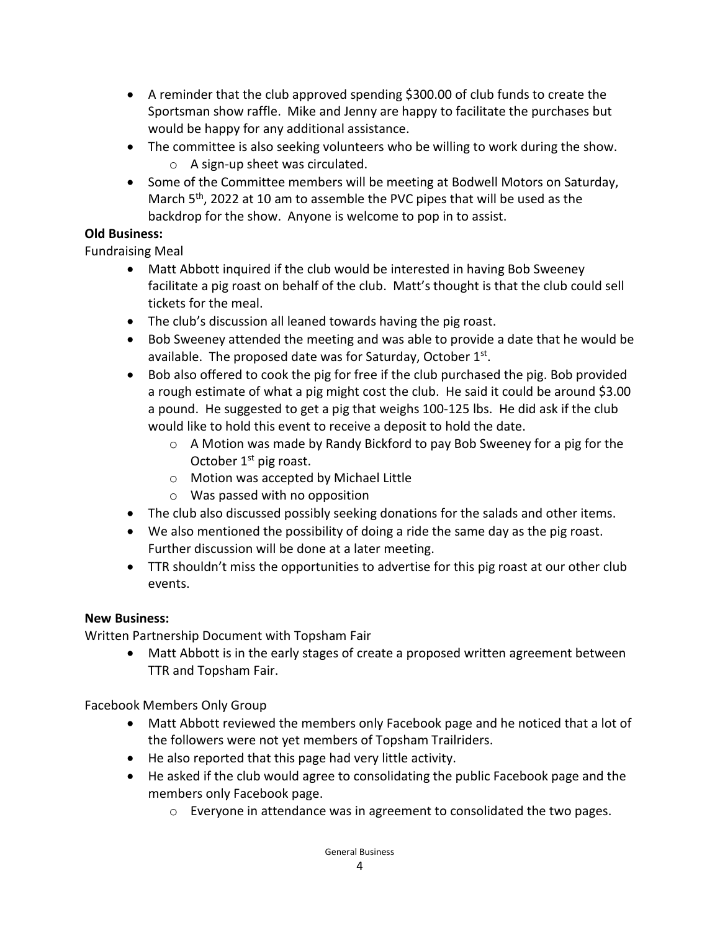- A reminder that the club approved spending \$300.00 of club funds to create the Sportsman show raffle. Mike and Jenny are happy to facilitate the purchases but would be happy for any additional assistance.
- The committee is also seeking volunteers who be willing to work during the show. o A sign-up sheet was circulated.
- Some of the Committee members will be meeting at Bodwell Motors on Saturday, March 5<sup>th</sup>, 2022 at 10 am to assemble the PVC pipes that will be used as the backdrop for the show. Anyone is welcome to pop in to assist.

### **Old Business:**

Fundraising Meal

- Matt Abbott inquired if the club would be interested in having Bob Sweeney facilitate a pig roast on behalf of the club. Matt's thought is that the club could sell tickets for the meal.
- The club's discussion all leaned towards having the pig roast.
- Bob Sweeney attended the meeting and was able to provide a date that he would be available. The proposed date was for Saturday, October  $1^{st}$ .
- Bob also offered to cook the pig for free if the club purchased the pig. Bob provided a rough estimate of what a pig might cost the club. He said it could be around \$3.00 a pound. He suggested to get a pig that weighs 100-125 lbs. He did ask if the club would like to hold this event to receive a deposit to hold the date.
	- $\circ$  A Motion was made by Randy Bickford to pay Bob Sweeney for a pig for the October  $1<sup>st</sup>$  pig roast.
	- o Motion was accepted by Michael Little
	- o Was passed with no opposition
- The club also discussed possibly seeking donations for the salads and other items.
- We also mentioned the possibility of doing a ride the same day as the pig roast. Further discussion will be done at a later meeting.
- TTR shouldn't miss the opportunities to advertise for this pig roast at our other club events.

# **New Business:**

Written Partnership Document with Topsham Fair

• Matt Abbott is in the early stages of create a proposed written agreement between TTR and Topsham Fair.

Facebook Members Only Group

- Matt Abbott reviewed the members only Facebook page and he noticed that a lot of the followers were not yet members of Topsham Trailriders.
- He also reported that this page had very little activity.
- He asked if the club would agree to consolidating the public Facebook page and the members only Facebook page.
	- o Everyone in attendance was in agreement to consolidated the two pages.